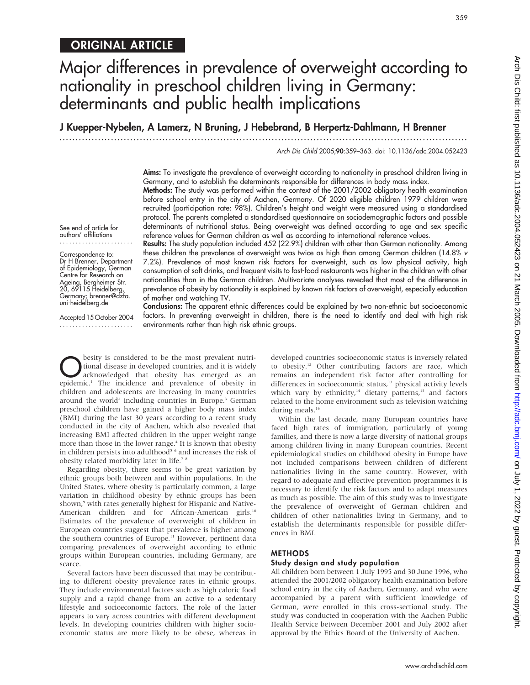# ORIGINAL ARTICLE

# Major differences in prevalence of overweight according to nationality in preschool children living in Germany: determinants and public health implications

J Kuepper-Nybelen, A Lamerz, N Bruning, J Hebebrand, B Herpertz-Dahlmann, H Brenner

...............................................................................................................................

Arch Dis Child 2005;90:359–363. doi: 10.1136/adc.2004.052423

Aims: To investigate the prevalence of overweight according to nationality in preschool children living in Germany, and to establish the determinants responsible for differences in body mass index.

Methods: The study was performed within the context of the 2001/2002 obligatory health examination before school entry in the city of Aachen, Germany. Of 2020 eligible children 1979 children were recruited (participation rate: 98%). Children's height and weight were measured using a standardised protocol. The parents completed a standardised questionnaire on sociodemographic factors and possible determinants of nutritional status. Being overweight was defined according to age and sex specific reference values for German children as well as according to international reference values.

authors' affiliations ....................... Correspondence to: Dr H Brenner, Department of Epidemiology, German Centre for Research on Results: The study population included 452 (22.9%) children with other than German nationality. Among these children the prevalence of overweight was twice as high than among German children (14.8% v

7.2%). Prevalence of most known risk factors for overweight, such as low physical activity, high consumption of soft drinks, and frequent visits to fast-food restaurants was higher in the children with other nationalities than in the German children. Multivariate analyses revealed that most of the difference in prevalence of obesity by nationality is explained by known risk factors of overweight, especially education of mother and watching TV.

Accepted 15 October 2004 .......................

Ageing, Bergheimer Str. 20, 69115 Heidelberg, Germany; brenner@dzfa. uni-heidelberg.de

See end of article for

Conclusions: The apparent ethnic differences could be explained by two non-ethnic but socioeconomic factors. In preventing overweight in children, there is the need to identify and deal with high risk environments rather than high risk ethnic groups.

**ODES** besity is considered to be the most prevalent nutri-<br>tional disease in developed countries, and it is widely<br>acknowledged that obesity has emerged as an tional disease in developed countries, and it is widely acknowledged that obesity has emerged as an epidemic.1 The incidence and prevalence of obesity in children and adolescents are increasing in many countries around the world<sup>2</sup> including countries in Europe.<sup>3</sup> German preschool children have gained a higher body mass index (BMI) during the last 30 years according to a recent study conducted in the city of Aachen, which also revealed that increasing BMI affected children in the upper weight range more than those in the lower range.<sup>4</sup> It is known that obesity in children persists into adulthood<sup>5</sup> <sup>6</sup> and increases the risk of obesity related morbidity later in life.<sup>7</sup><sup>8</sup>

Regarding obesity, there seems to be great variation by ethnic groups both between and within populations. In the United States, where obesity is particularly common, a large variation in childhood obesity by ethnic groups has been shown,<sup>9</sup> with rates generally highest for Hispanic and Native-American children and for African-American girls.<sup>10</sup> Estimates of the prevalence of overweight of children in European countries suggest that prevalence is higher among the southern countries of Europe.<sup>11</sup> However, pertinent data comparing prevalences of overweight according to ethnic groups within European countries, including Germany, are scarce.

Several factors have been discussed that may be contributing to different obesity prevalence rates in ethnic groups. They include environmental factors such as high caloric food supply and a rapid change from an active to a sedentary lifestyle and socioeconomic factors. The role of the latter appears to vary across countries with different development levels. In developing countries children with higher socioeconomic status are more likely to be obese, whereas in developed countries socioeconomic status is inversely related to obesity.<sup>12</sup> Other contributing factors are race, which remains an independent risk factor after controlling for differences in socioeconomic status,<sup>13</sup> physical activity levels which vary by ethnicity,<sup>14</sup> dietary patterns,<sup>15</sup> and factors related to the home environment such as television watching during meals.<sup>16</sup>

Within the last decade, many European countries have faced high rates of immigration, particularly of young families, and there is now a large diversity of national groups among children living in many European countries. Recent epidemiological studies on childhood obesity in Europe have not included comparisons between children of different nationalities living in the same country. However, with regard to adequate and effective prevention programmes it is necessary to identify the risk factors and to adapt measures as much as possible. The aim of this study was to investigate the prevalence of overweight of German children and children of other nationalities living in Germany, and to establish the determinants responsible for possible differences in BMI.

#### **METHODS**

#### Study design and study population

All children born between 1 July 1995 and 30 June 1996, who attended the 2001/2002 obligatory health examination before school entry in the city of Aachen, Germany, and who were accompanied by a parent with sufficient knowledge of German, were enrolled in this cross-sectional study. The study was conducted in cooperation with the Aachen Public Health Service between December 2001 and July 2002 after approval by the Ethics Board of the University of Aachen.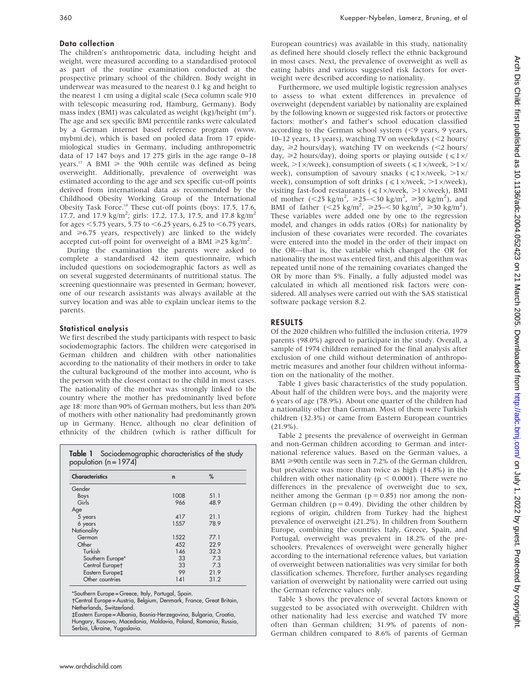### Data collection

The children's anthropometric data, including height and weight, were measured according to a standardised protocol as part of the routine examination conducted at the prospective primary school of the children. Body weight in underwear was measured to the nearest 0.1 kg and height to the nearest 1 cm using a digital scale (Seca column scale 910 with telescopic measuring rod, Hamburg, Germany). Body mass index (BMI) was calculated as weight (kg)/height (m<sup>2</sup>). The age and sex specific BMI percentile ranks were calculated by a German internet based reference program (www. mybmi.de), which is based on pooled data from 17 epidemiological studies in Germany, including anthropometric data of 17 147 boys and 17 275 girls in the age range 0–18 years.<sup>17</sup> A BMI  $\ge$  the 90th centile was defined as being overweight. Additionally, prevalence of overweight was estimated according to the age and sex specific cut-off points derived from international data as recommended by the Childhood Obesity Working Group of the International Obesity Task Force.18 These cut-off points (boys: 17.5, 17.6, 17.7, and 17.9 kg/m<sup>2</sup>; girls: 17.2, 17.3, 17.5, and 17.8 kg/m<sup>2</sup> for ages  $<$  5.75 years, 5.75 to  $<$  6.25 years, 6.25 to  $<$  6.75 years, and  $\geq 6.75$  years, respectively) are linked to the widely accepted cut-off point for overweight of a BMI  $\geq 25$  kg/m<sup>2</sup>.

During the examination the parents were asked to complete a standardised 42 item questionnaire, which included questions on sociodemographic factors as well as on several suggested determinants of nutritional status. The screening questionnaire was presented in German; however, one of our research assistants was always available at the survey location and was able to explain unclear items to the parents.

#### Statistical analysis

We first described the study participants with respect to basic sociodemographic factors. The children were categorised in German children and children with other nationalities according to the nationality of their mothers in order to take the cultural background of the mother into account, who is the person with the closest contact to the child in most cases. The nationality of the mother was strongly linked to the country where the mother has predominantly lived before age 18: more than 90% of German mothers, but less than 20% of mothers with other nationality had predominantly grown up in Germany. Hence, although no clear definition of ethnicity of the children (which is rather difficult for

| <b>Characteristics</b> | $\mathsf{r}$ | %    |
|------------------------|--------------|------|
| Gender                 |              |      |
| Boys                   | 1008         | 51.1 |
| Girls                  | 966          | 48.9 |
| Age                    |              |      |
| 5 years                | 417          | 21.1 |
| 6 years                | 1557         | 78.9 |
| Nationality            |              |      |
| German                 | 1522         | 77.1 |
| Other                  | 452          | 22.9 |
| Turkish                | 146          | 32.3 |
| Southern Europe*       | 33           | 7.3  |
| Central Europet        | 33           | 73   |
| Eastern Europe‡        | 99           | 21.9 |
| Other countries        | 141          | 31.2 |

\*Southern Europe = Greece, Italy, Portugal, Spain.

Central Europe = Austria, Belgium, Denmark, France, Great Britain, Netherlands, Switzerland.

`Eastern Europe = Albania, Bosnia-Herzegovina, Bulgaria, Croatia, Hungary, Kosowo, Macedonia, Moldavia, Poland, Romania, Russia, Serbia, Ukraine, Yugoslavia.

European countries) was available in this study, nationality as defined here should closely reflect the ethnic background in most cases. Next, the prevalence of overweight as well as eating habits and various suggested risk factors for overweight were described according to nationality.

Furthermore, we used multiple logistic regression analyses to assess to what extent differences in prevalence of overweight (dependent variable) by nationality are explained by the following known or suggested risk factors or protective factors: mother's and father's school education classified according to the German school system  $(< 9$  years, 9 years, 10–12 years, 13 years), watching TV on weekdays  $\langle$  <2 hours/ day,  $\geq 2$  hours/day), watching TV on weekends (<2 hours/ day,  $\geq 2$  hours/day), doing sports or playing outside ( $\leq 1 \times$ / week,  $>1 \times$ /week), consumption of sweets ( $\leq 1 \times$ /week,  $>1 \times$ / week), consumption of savoury snacks  $(\leq 1 \times$ /week,  $>1 \times$ / week), consumption of soft drinks ( $\leq 1 \times$ /week,  $>1 \times$ /week), visiting fast-food restaurants ( $\leq 1 \times$ /week,  $>1 \times$ /week), BMI of mother  $(<25 \text{ kg/m}^2, \ge 25=30 \text{ kg/m}^2, \ge 30 \text{ kg/m}^2)$ , and BMI of father  $(<25 \text{ kg/m}^2, \ge 25 - <30 \text{ kg/m}^2, \ge 30 \text{ kg/m}^2)$ . These variables were added one by one to the regression model, and changes in odds ratios (ORs) for nationality by inclusion of these covariates were recorded. The covariates were entered into the model in the order of their impact on the OR—that is, the variable which changed the OR for nationality the most was entered first, and this algorithm was repeated until none of the remaining covariates changed the OR by more than 5%. Finally, a fully adjusted model was calculated in which all mentioned risk factors were considered. All analyses were carried out with the SAS statistical software package version 8.2.

# RESULTS

Of the 2020 children who fulfilled the inclusion criteria, 1979 parents (98.0%) agreed to participate in the study. Overall, a sample of 1974 children remained for the final analysis after exclusion of one child without determination of anthropometric measures and another four children without information on the nationality of the mother.

Table 1 gives basic characteristics of the study population. About half of the children were boys, and the majority were 6 years of age (78.9%). About one quarter of the children had a nationality other than German. Most of them were Turkish children (32.3%) or came from Eastern European countries (21.9%).

Table 2 presents the prevalence of overweight in German and non-German children according to German and international reference values. Based on the German values, a BMI  $\geq$ 90th centile was seen in 7.2% of the German children, but prevalence was more than twice as high (14.8%) in the children with other nationality ( $p < 0.0001$ ). There were no differences in the prevalence of overweight due to sex, neither among the German  $(p = 0.85)$  nor among the non-German children ( $p = 0.49$ ). Dividing the other children by regions of origin, children from Turkey had the highest prevalence of overweight (21.2%). In children from Southern Europe, combining the countries Italy, Greece, Spain, and Portugal, overweight was prevalent in 18.2% of the preschoolers. Prevalences of overweight were generally higher according to the international reference values, but variation of overweight between nationalities was very similar for both classification schemes. Therefore, further analyses regarding variation of overweight by nationality were carried out using the German reference values only.

Table 3 shows the prevalence of several factors known or suggested to be associated with overweight. Children with other nationality had less exercise and watched TV more often than German children; 31.9% of parents of non-German children compared to 8.6% of parents of German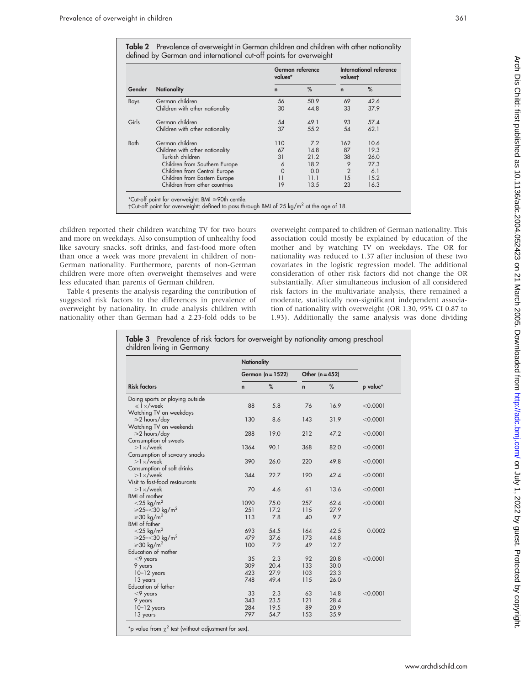Table 2 Prevalence of overweight in German children and children with other nationality defined by German and international cut-off points for overweight

| Gender | <b>Nationality</b>              | German reference<br>values* |      | International reference<br>valuest |      |
|--------|---------------------------------|-----------------------------|------|------------------------------------|------|
|        |                                 | $\mathbf n$                 | %    | $\mathbf n$                        | %    |
| Boys   | German children                 | 56                          | 50.9 | 69                                 | 42.6 |
|        | Children with other nationality | 30                          | 44.8 | 33                                 | 37.9 |
| Girls  | German children                 | 54                          | 49.1 | 93                                 | 57.4 |
|        | Children with other nationality | 37                          | 55.2 | 54                                 | 62.1 |
| Both   | German children                 | 110                         | 7.2  | 162                                | 10.6 |
|        | Children with other nationality | 67                          | 14.8 | 87                                 | 19.3 |
|        | Turkish children                | 31                          | 21.2 | 38                                 | 26.0 |
|        | Children from Southern Europe   | 6                           | 18.2 | 9                                  | 27.3 |
|        | Children from Central Europe    | $\Omega$                    | 0.0  | $\overline{2}$                     | 6.1  |
|        | Children from Eastern Europe    | 11                          | 11.1 | 15                                 | 15.2 |
|        | Children from other countries   | 19                          | 13.5 | 23                                 | 16.3 |

children reported their children watching TV for two hours and more on weekdays. Also consumption of unhealthy food like savoury snacks, soft drinks, and fast-food more often than once a week was more prevalent in children of non-German nationality. Furthermore, parents of non-German children were more often overweight themselves and were less educated than parents of German children.

Table 4 presents the analysis regarding the contribution of suggested risk factors to the differences in prevalence of overweight by nationality. In crude analysis children with nationality other than German had a 2.23-fold odds to be overweight compared to children of German nationality. This association could mostly be explained by education of the mother and by watching TV on weekdays. The OR for nationality was reduced to 1.37 after inclusion of these two covariates in the logistic regression model. The additional consideration of other risk factors did not change the OR substantially. After simultaneous inclusion of all considered risk factors in the multivariate analysis, there remained a moderate, statistically non-significant independent association of nationality with overweight (OR 1.30, 95% CI 0.87 to 1.93). Additionally the same analysis was done dividing

|                                                   | <b>Nationality</b>  |      |                   |      |            |
|---------------------------------------------------|---------------------|------|-------------------|------|------------|
|                                                   | German $(n = 1522)$ |      | Other $(n = 452)$ |      |            |
| <b>Risk factors</b>                               | $\mathsf{n}$        | %    | $\mathbf n$       | %    | p value*   |
| Doing sports or playing outside                   |                     |      |                   |      |            |
| $\leq 1 \times$ /week                             | 88                  | 5.8  | 76                | 16.9 | < 0.0001   |
| Watching TV on weekdays                           |                     |      |                   |      |            |
| $\geq 2$ hours/day                                | 130                 | 8.6  | 143               | 31.9 | $<$ 0.0001 |
| Watching TV on weekends                           |                     |      |                   |      |            |
| $\geq 2$ hours/day                                | 288                 | 19.0 | 212               | 47.2 | < 0.0001   |
| Consumption of sweets                             | 1364                | 90.1 | 368               | 82.0 | < 0.0001   |
| $>1\times$ /week                                  |                     |      |                   |      |            |
| Consumption of savoury snacks<br>$>1\times$ /week | 390                 | 26.0 | 220               | 49.8 | < 0.0001   |
| Consumption of soft drinks                        |                     |      |                   |      |            |
| $>1\times$ /week                                  | 344                 | 22.7 | 190               | 42.4 | < 0.0001   |
| Visit to fast-food restaurants                    |                     |      |                   |      |            |
| $>1\times$ /week                                  | 70                  | 4.6  | 61                | 13.6 | < 0.0001   |
| <b>BMI</b> of mother                              |                     |      |                   |      |            |
| $<$ 25 kg/m <sup>2</sup>                          | 1090                | 75.0 | 257               | 62.4 | < 0.0001   |
| $\ge 25 - 30$ kg/m <sup>2</sup>                   | 251                 | 17.2 | 115               | 27.9 |            |
| $\geq 30 \text{ kg/m}^2$                          | 113                 | 7.8  | 40                | 9.7  |            |
| <b>BMI</b> of father                              |                     |      |                   |      |            |
| $<$ 25 kg/m <sup>2</sup>                          | 693                 | 54.5 | 164               | 42.5 | 0.0002     |
| $\ge 25 - 30$ kg/m <sup>2</sup>                   | 479                 | 37.6 | 173               | 44.8 |            |
| $\geq 30 \text{ kg/m}^2$                          | 100                 | 7.9  | 49                | 12.7 |            |
| Education of mother                               |                     |      |                   |      |            |
| $<$ 9 years                                       | 35                  | 2.3  | 92                | 20.8 | < 0.0001   |
| 9 years                                           | 309                 | 20.4 | 133               | 30.0 |            |
| $10-12$ years                                     | 423                 | 27.9 | 103               | 23.3 |            |
| 13 years                                          | 748                 | 49.4 | 115               | 26.0 |            |
| Education of father                               |                     |      |                   |      |            |
| $<$ 9 years                                       | 33                  | 2.3  | 63                | 14.8 | < 0.0001   |
| 9 years                                           | 343                 | 23.5 | 121               | 28.4 |            |
| $10-12$ years                                     | 284                 | 19.5 | 89                | 20.9 |            |
| 13 years                                          | 797                 | 54.7 | 153               | 35.9 |            |

 $\mathsf p$  value from  $\chi^+$  test (without adjustment for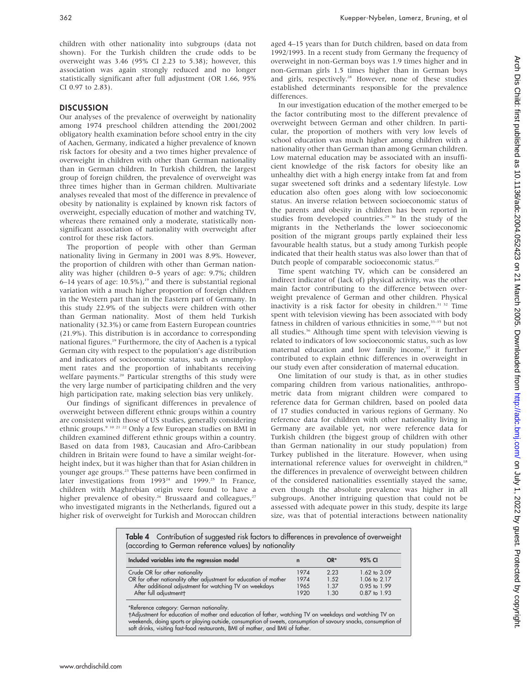362 Kuepper-Nybelen, Lamerz, Bruning, et al

children with other nationality into subgroups (data not shown). For the Turkish children the crude odds to be overweight was 3.46 (95% CI 2.23 to 5.38); however, this association was again strongly reduced and no longer statistically significant after full adjustment (OR 1.66, 95% CI 0.97 to 2.83).

## **DISCUSSION**

Our analyses of the prevalence of overweight by nationality among 1974 preschool children attending the 2001/2002 obligatory health examination before school entry in the city of Aachen, Germany, indicated a higher prevalence of known risk factors for obesity and a two times higher prevalence of overweight in children with other than German nationality than in German children. In Turkish children, the largest group of foreign children, the prevalence of overweight was three times higher than in German children. Multivariate analyses revealed that most of the difference in prevalence of obesity by nationality is explained by known risk factors of overweight, especially education of mother and watching TV, whereas there remained only a moderate, statistically nonsignificant association of nationality with overweight after control for these risk factors.

The proportion of people with other than German nationality living in Germany in 2001 was 8.9%. However, the proportion of children with other than German nationality was higher (children 0–5 years of age: 9.7%; children 6–14 years of age:  $10.5\%$ ),<sup>19</sup> and there is substantial regional variation with a much higher proportion of foreign children in the Western part than in the Eastern part of Germany. In this study 22.9% of the subjects were children with other than German nationality. Most of them held Turkish nationality (32.3%) or came from Eastern European countries (21.9%). This distribution is in accordance to corresponding national figures.<sup>19</sup> Furthermore, the city of Aachen is a typical German city with respect to the population's age distribution and indicators of socioeconomic status, such as unemployment rates and the proportion of inhabitants receiving welfare payments.<sup>20</sup> Particular strengths of this study were the very large number of participating children and the very high participation rate, making selection bias very unlikely.

Our findings of significant differences in prevalence of overweight between different ethnic groups within a country are consistent with those of US studies, generally considering ethnic groups.9 10 21 22 Only a few European studies on BMI in children examined different ethnic groups within a country. Based on data from 1983, Caucasian and Afro-Caribbean children in Britain were found to have a similar weight-forheight index, but it was higher than that for Asian children in younger age groups.23 These patterns have been confirmed in later investigations from 1993<sup>24</sup> and 1999.<sup>25</sup> In France, children with Maghrebian origin were found to have a higher prevalence of obesity.<sup>26</sup> Brussaard and colleagues,<sup>27</sup> who investigated migrants in the Netherlands, figured out a higher risk of overweight for Turkish and Moroccan children

aged 4–15 years than for Dutch children, based on data from 1992/1993. In a recent study from Germany the frequency of overweight in non-German boys was 1.9 times higher and in non-German girls 1.5 times higher than in German boys and girls, respectively.<sup>28</sup> However, none of these studies established determinants responsible for the prevalence differences.

In our investigation education of the mother emerged to be the factor contributing most to the different prevalence of overweight between German and other children. In particular, the proportion of mothers with very low levels of school education was much higher among children with a nationality other than German than among German children. Low maternal education may be associated with an insufficient knowledge of the risk factors for obesity like an unhealthy diet with a high energy intake from fat and from sugar sweetened soft drinks and a sedentary lifestyle. Low education also often goes along with low socioeconomic status. An inverse relation between socioeconomic status of the parents and obesity in children has been reported in studies from developed countries.<sup>29 30</sup> In the study of the migrants in the Netherlands the lower socioeconomic position of the migrant groups partly explained their less favourable health status, but a study among Turkish people indicated that their health status was also lower than that of Dutch people of comparable socioeconomic status.<sup>27</sup>

Time spent watching TV, which can be considered an indirect indicator of (lack of) physical activity, was the other main factor contributing to the difference between overweight prevalence of German and other children. Physical inactivity is a risk factor for obesity in children.<sup>31 32</sup> Time spent with television viewing has been associated with body fatness in children of various ethnicities in some,<sup>33-35</sup> but not all studies.<sup>36</sup> Although time spent with television viewing is related to indicators of low socioeconomic status, such as low maternal education and low family income.<sup>37</sup> it further contributed to explain ethnic differences in overweight in our study even after consideration of maternal education.

One limitation of our study is that, as in other studies comparing children from various nationalities, anthropometric data from migrant children were compared to reference data for German children, based on pooled data of 17 studies conducted in various regions of Germany. No reference data for children with other nationality living in Germany are available yet, nor were reference data for Turkish children (the biggest group of children with other than German nationality in our study population) from Turkey published in the literature. However, when using international reference values for overweight in children,<sup>18</sup> the differences in prevalence of overweight between children of the considered nationalities essentially stayed the same, even though the absolute prevalence was higher in all subgroups. Another intriguing question that could not be assessed with adequate power in this study, despite its large size, was that of potential interactions between nationality

Table 4 Contribution of suggested risk factors to differences in prevalence of overweight (according to German reference values) by nationality

| Included variables into the regression model                      | $\mathbf n$ | $OR^*$ | 95% CI       |
|-------------------------------------------------------------------|-------------|--------|--------------|
| Crude OR for other nationality                                    | 1974        | 2.23   | 1.62 to 3.09 |
| OR for other nationality after adjustment for education of mother | 1974        | 1.52   | 1.06 to 2.17 |
| After additional adjustment for watching TV on weekdays           | 1965        | 1.37   | 0.95 to 1.99 |
| After full adjustment +                                           | 1920        | 1.30   | 0.87 to 1.93 |

\*Reference category: German nationality.

Adjustment for education of mother and education of father, watching TV on weekdays and watching TV on weekends, doing sports or playing outside, consumption of sweets, consumption of savoury snacks, consumption of soft drinks, visiting fast-food restaurants, BMI of mother, and BMI of father.